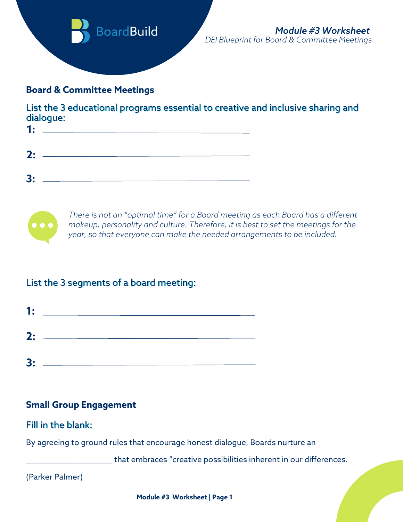

#### **Board & Committee Meetings**

List the 3 educational programs essential to creative and inclusive sharing and dialogue:

| 1: | and the contract of the contract of the contract of the contract of the contract of the contract of the contract of |  |
|----|---------------------------------------------------------------------------------------------------------------------|--|
|    |                                                                                                                     |  |
|    | $2:$ $\overline{\phantom{a}}$                                                                                       |  |
|    |                                                                                                                     |  |
|    |                                                                                                                     |  |
|    |                                                                                                                     |  |



*There is not an "optimal time" for a Board meeting as each Board has a different makeup, personality and culture. Therefore, it is best to set the meetings for the year, so that everyone can make the needed arrangements to be included.*

# List the 3 segments of a board meeting:



# **Small Group Engagement**

#### Fill in the blank:

By agreeing to ground rules that encourage honest dialogue, Boards nurture an

that embraces "creative possibilities inherent in our differences.

(Parker Palmer)

**Module #3 Worksheet | Page 1**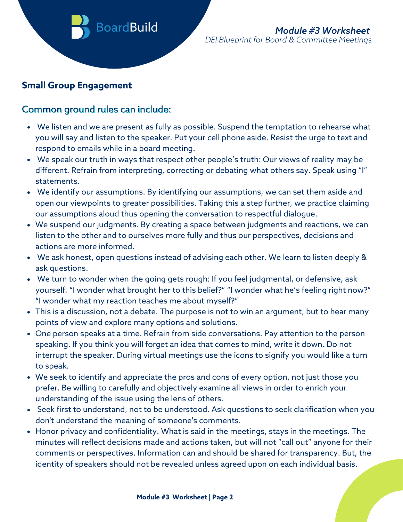# **Small Group Engagement**

## Common ground rules can include:

- We listen and we are present as fully as possible. Suspend the temptation to rehearse what you will say and listen to the speaker. Put your cell phone aside. Resist the urge to text and respond to emails while in a board meeting.
- We speak our truth in ways that respect other people's truth: Our views of reality may be different. Refrain from interpreting, correcting or debating what others say. Speak using "I" statements.
- We identify our assumptions. By identifying our assumptions, we can set them aside and open our viewpoints to greater possibilities. Taking this a step further, we practice claiming our assumptions aloud thus opening the conversation to respectful dialogue.
- We suspend our judgments. By creating a space between judgments and reactions, we can listen to the other and to ourselves more fully and thus our perspectives, decisions and actions are more informed.
- We ask honest, open questions instead of advising each other. We learn to listen deeply & ask questions.
- We turn to wonder when the going gets rough: If you feel judgmental, or defensive, ask yourself, "I wonder what brought her to this belief?" "I wonder what he's feeling right now?" "I wonder what my reaction teaches me about myself?"
- This is a discussion, not a debate. The purpose is not to win an argument, but to hear many points of view and explore many options and solutions.
- One person speaks at a time. Refrain from side conversations. Pay attention to the person speaking. If you think you will forget an idea that comes to mind, write it down. Do not interrupt the speaker. During virtual meetings use the icons to signify you would like a turn to speak.
- We seek to identify and appreciate the pros and cons of every option, not just those you prefer. Be willing to carefully and objectively examine all views in order to enrich your understanding of the issue using the lens of others.
- Seek first to understand, not to be understood. Ask questions to seek clarification when you don't understand the meaning of someone's comments.
- Honor privacy and confidentiality. What is said in the meetings, stays in the meetings. The minutes will reflect decisions made and actions taken, but will not "call out" anyone for their comments or perspectives. Information can and should be shared for transparency. But, the identity of speakers should not be revealed unless agreed upon on each individual basis.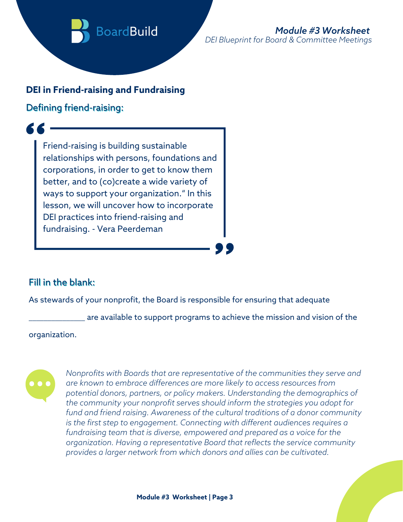

#### **DEI in Friend-raising and Fundraising**

Defining friend-raising:

Friend-raising is building sustainable relationships with persons, foundations and corporations, in order to get to know them better, and to (co)create a wide variety of ways to support your organization." In this lesson, we will uncover how to incorporate DEI practices into friend-raising and fundraising. - Vera Peerdeman

## Fill in the blank:

As stewards of your nonprofit, the Board is responsible for ensuring that adequate

are available to support programs to achieve the mission and vision of the

organization.



*Nonprofits with Boards that are representative of the communities they serve and are known to embrace differences are more likely to access resources from potential donors, partners, or policy makers. Understanding the demographics of the community your nonprofit serves should inform the strategies you adopt for fund and friend raising. Awareness of the cultural traditions of a donor community is the first step to engagement. Connecting with different audiences requires a fundraising team that is diverse, empowered and prepared as a voice for the organization. Having a representative Board that reflects the service community provides a larger network from which donors and allies can be cultivated.*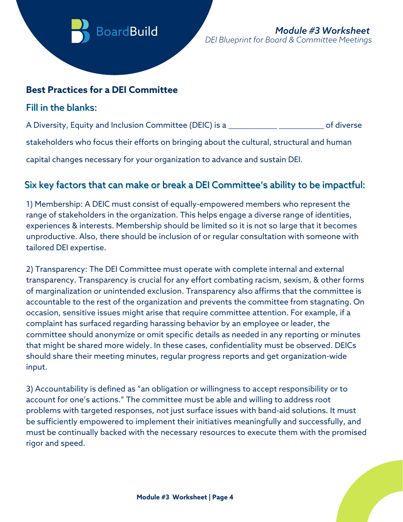

#### **Best Practices for a DEI Committee**

#### Fill in the blanks:

A Diversity, Equity and Inclusion Committee (DEIC) is a \_\_\_\_\_\_\_\_\_\_\_\_\_\_\_\_\_\_\_\_\_\_\_\_\_ of diverse

stakeholders who focus their efforts on bringing about the cultural, structural and human

capital changes necessary for your organization to advance and sustain DEI.

## Six key factors that can make or break a DEI Committee's ability to be impactful:

1) Membership: A DEIC must consist of equally-empowered members who represent the range of stakeholders in the organization. This helps engage a diverse range of identities, experiences & interests. Membership should be limited so it is not so large that it becomes unproductive. Also, there should be inclusion of or regular consultation with someone with tailored DEI expertise.

2) Transparency: The DEI Committee must operate with complete internal and external transparency. Transparency is crucial for any effort combating racism, sexism, & other forms of marginalization or unintended exclusion. Transparency also affirms that the committee is accountable to the rest of the organization and prevents the committee from stagnating. On occasion, sensitive issues might arise that require committee attention. For example, if a complaint has surfaced regarding harassing behavior by an employee or leader, the committee should anonymize or omit specific details as needed in any reporting or minutes that might be shared more widely. In these cases, confidentiality must be observed. DEICs should share their meeting minutes, regular progress reports and get organization-wide input.

3) Accountability is [defined](https://www.merriam-webster.com/dictionary/accountability) as "an obligation or willingness to accept responsibility or to account for one's actions." The committee must be able and willing to address root problems with targeted responses, not just surface issues with band-aid solutions. It must be sufficiently empowered to implement their initiatives meaningfully and successfully, and must be continually backed with the necessary resources to execute them with the promised rigor and speed.